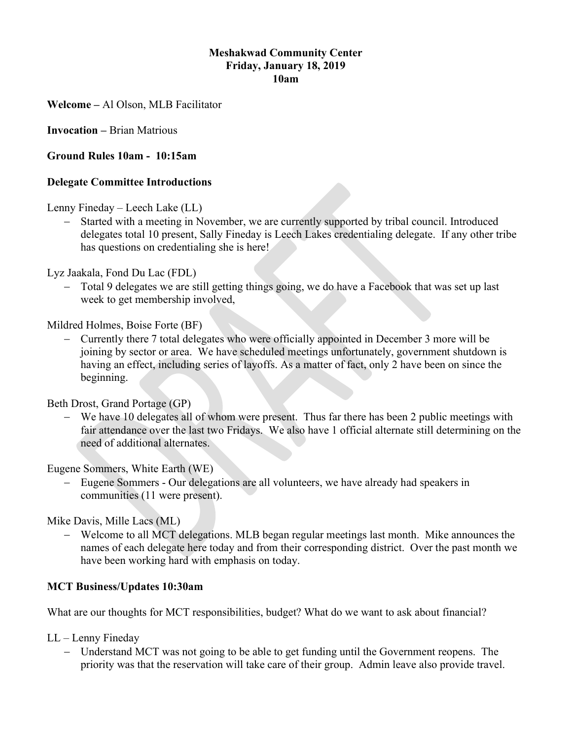### Meshakwad Community Center Friday, January 18, 2019 10am

Welcome – Al Olson, MLB Facilitator

Invocation – Brian Matrious

## Ground Rules 10am - 10:15am

#### Delegate Committee Introductions

Lenny Fineday – Leech Lake (LL)

 Started with a meeting in November, we are currently supported by tribal council. Introduced delegates total 10 present, Sally Fineday is Leech Lakes credentialing delegate. If any other tribe has questions on credentialing she is here!

Lyz Jaakala, Fond Du Lac (FDL)

 Total 9 delegates we are still getting things going, we do have a Facebook that was set up last week to get membership involved,

Mildred Holmes, Boise Forte (BF)

 Currently there 7 total delegates who were officially appointed in December 3 more will be joining by sector or area. We have scheduled meetings unfortunately, government shutdown is having an effect, including series of layoffs. As a matter of fact, only 2 have been on since the beginning.

Beth Drost, Grand Portage (GP)

 We have 10 delegates all of whom were present. Thus far there has been 2 public meetings with fair attendance over the last two Fridays. We also have 1 official alternate still determining on the need of additional alternates.

Eugene Sommers, White Earth (WE)

 Eugene Sommers - Our delegations are all volunteers, we have already had speakers in communities (11 were present).

Mike Davis, Mille Lacs (ML)

 Welcome to all MCT delegations. MLB began regular meetings last month. Mike announces the names of each delegate here today and from their corresponding district. Over the past month we have been working hard with emphasis on today.

## MCT Business/Updates 10:30am

What are our thoughts for MCT responsibilities, budget? What do we want to ask about financial?

LL – Lenny Fineday

 Understand MCT was not going to be able to get funding until the Government reopens. The priority was that the reservation will take care of their group. Admin leave also provide travel.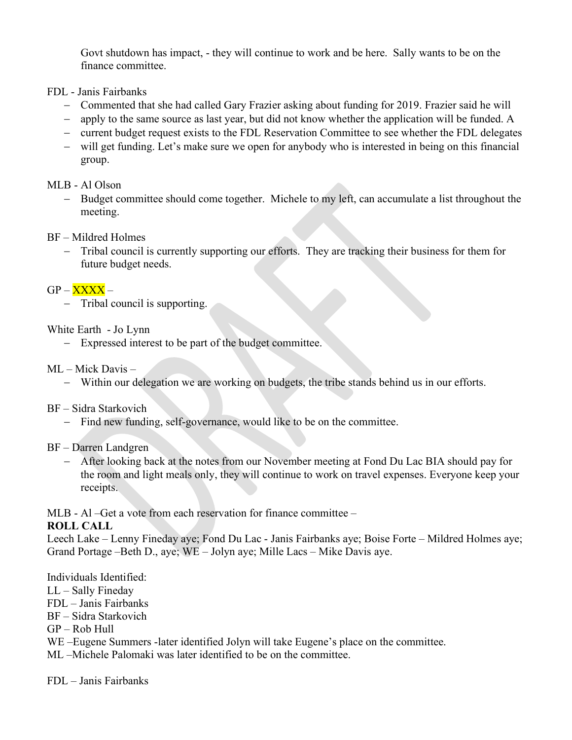Govt shutdown has impact, - they will continue to work and be here. Sally wants to be on the finance committee.

- FDL Janis Fairbanks
	- Commented that she had called Gary Frazier asking about funding for 2019. Frazier said he will
	- apply to the same source as last year, but did not know whether the application will be funded. A
	- current budget request exists to the FDL Reservation Committee to see whether the FDL delegates
	- will get funding. Let's make sure we open for anybody who is interested in being on this financial group.

### MLB - Al Olson

- Budget committee should come together. Michele to my left, can accumulate a list throughout the meeting.
- BF Mildred Holmes
	- Tribal council is currently supporting our efforts. They are tracking their business for them for future budget needs.

## $GP - XXXX -$

- Tribal council is supporting.

### White Earth - Jo Lynn

Expressed interest to be part of the budget committee.

### ML – Mick Davis –

Within our delegation we are working on budgets, the tribe stands behind us in our efforts.

#### BF – Sidra Starkovich

- Find new funding, self-governance, would like to be on the committee.

## BF – Darren Landgren

 After looking back at the notes from our November meeting at Fond Du Lac BIA should pay for the room and light meals only, they will continue to work on travel expenses. Everyone keep your receipts.

MLB - Al –Get a vote from each reservation for finance committee –

## ROLL CALL

Leech Lake – Lenny Fineday aye; Fond Du Lac - Janis Fairbanks aye; Boise Forte – Mildred Holmes aye; Grand Portage –Beth D., aye; WE – Jolyn aye; Mille Lacs – Mike Davis aye.

## Individuals Identified:

- LL Sally Fineday
- FDL Janis Fairbanks
- BF Sidra Starkovich
- $GP Rob Hull$
- WE –Eugene Summers -later identified Jolyn will take Eugene's place on the committee.
- ML –Michele Palomaki was later identified to be on the committee.

FDL – Janis Fairbanks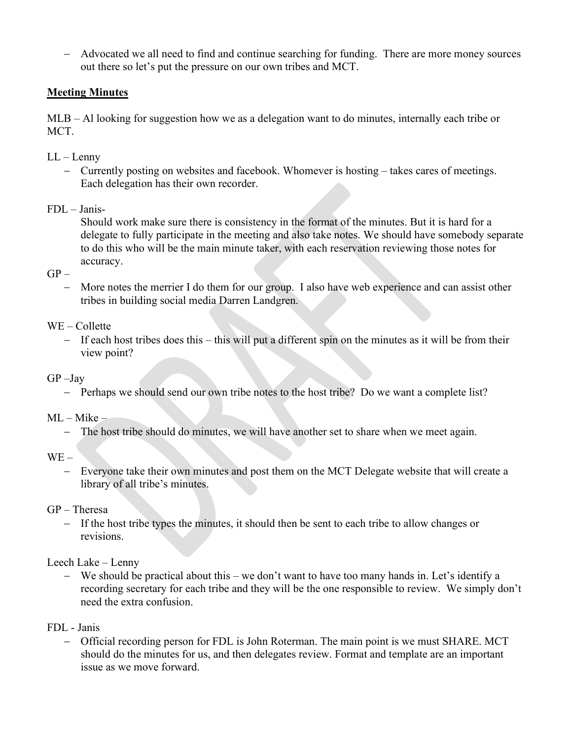Advocated we all need to find and continue searching for funding. There are more money sources out there so let's put the pressure on our own tribes and MCT.

# **Meeting Minutes**

MLB – Al looking for suggestion how we as a delegation want to do minutes, internally each tribe or MCT.

- LL Lenny
	- Currently posting on websites and facebook. Whomever is hosting takes cares of meetings. Each delegation has their own recorder.

### FDL – Janis-

Should work make sure there is consistency in the format of the minutes. But it is hard for a delegate to fully participate in the meeting and also take notes. We should have somebody separate to do this who will be the main minute taker, with each reservation reviewing those notes for accuracy.

 $GP -$ 

 More notes the merrier I do them for our group. I also have web experience and can assist other tribes in building social media Darren Landgren.

#### WE – Collette

- If each host tribes does this this will put a different spin on the minutes as it will be from their view point?
- GP –Jay
	- Perhaps we should send our own tribe notes to the host tribe? Do we want a complete list?

ML – Mike –

- The host tribe should do minutes, we will have another set to share when we meet again.

WE –

 Everyone take their own minutes and post them on the MCT Delegate website that will create a library of all tribe's minutes.

#### GP – Theresa

- If the host tribe types the minutes, it should then be sent to each tribe to allow changes or revisions.

#### Leech Lake – Lenny

 We should be practical about this – we don't want to have too many hands in. Let's identify a recording secretary for each tribe and they will be the one responsible to review. We simply don't need the extra confusion.

#### FDL - Janis

 Official recording person for FDL is John Roterman. The main point is we must SHARE. MCT should do the minutes for us, and then delegates review. Format and template are an important issue as we move forward.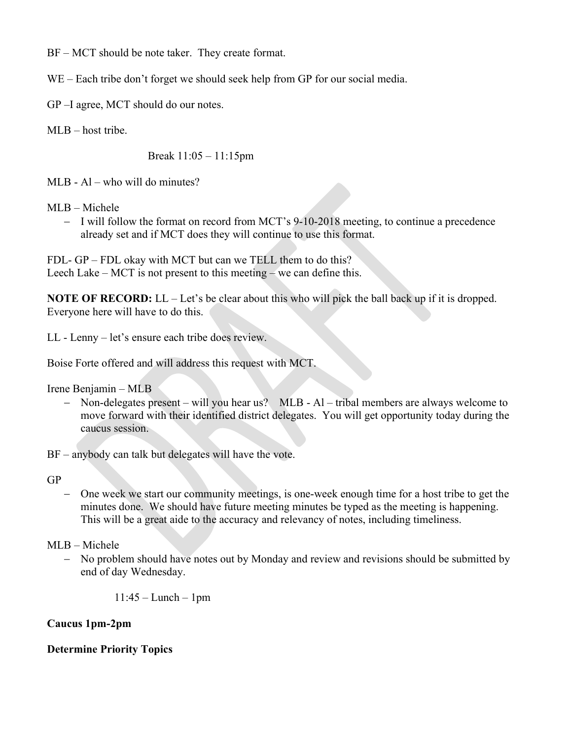BF – MCT should be note taker. They create format.

WE – Each tribe don't forget we should seek help from GP for our social media.

GP –I agree, MCT should do our notes.

MLB – host tribe.

Break 11:05 – 11:15pm

MLB - Al – who will do minutes?

MLB – Michele

- I will follow the format on record from MCT's 9-10-2018 meeting, to continue a precedence already set and if MCT does they will continue to use this format.

FDL- GP – FDL okay with MCT but can we TELL them to do this? Leech Lake – MCT is not present to this meeting – we can define this.

NOTE OF RECORD: LL – Let's be clear about this who will pick the ball back up if it is dropped. Everyone here will have to do this.

LL - Lenny – let's ensure each tribe does review.

Boise Forte offered and will address this request with MCT.

Irene Benjamin – MLB

- Non-delegates present – will you hear us? MLB - Al – tribal members are always welcome to move forward with their identified district delegates. You will get opportunity today during the caucus session.

BF – anybody can talk but delegates will have the vote.

GP

 One week we start our community meetings, is one-week enough time for a host tribe to get the minutes done. We should have future meeting minutes be typed as the meeting is happening. This will be a great aide to the accuracy and relevancy of notes, including timeliness.

# MLB – Michele

- No problem should have notes out by Monday and review and revisions should be submitted by end of day Wednesday.

11:45 – Lunch – 1pm

# Caucus 1pm-2pm

# Determine Priority Topics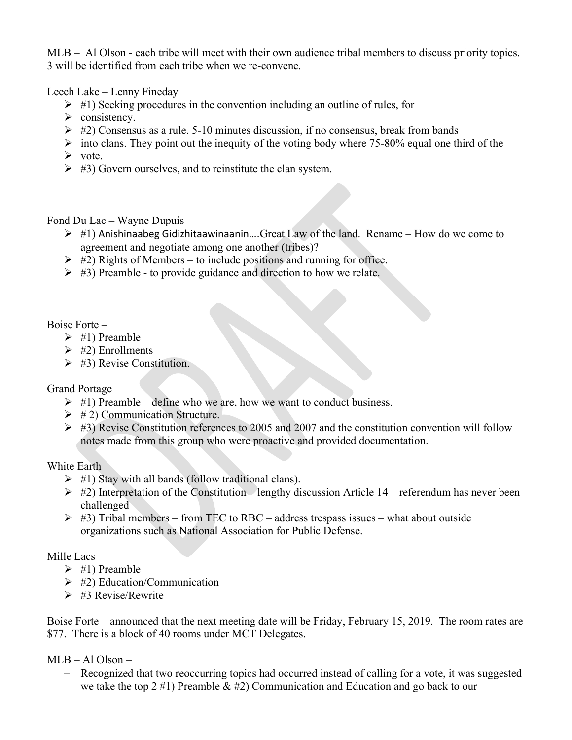MLB – Al Olson - each tribe will meet with their own audience tribal members to discuss priority topics. 3 will be identified from each tribe when we re-convene.

Leech Lake – Lenny Fineday

- $\triangleright$  #1) Seeking procedures in the convention including an outline of rules, for
- $\triangleright$  consistency.
- $\triangleright$  #2) Consensus as a rule. 5-10 minutes discussion, if no consensus, break from bands
- $\geq$  into clans. They point out the inequity of the voting body where 75-80% equal one third of the
- $\triangleright$  vote.
- $\triangleright$  #3) Govern ourselves, and to reinstitute the clan system.

Fond Du Lac – Wayne Dupuis

- $\triangleright$  #1) Anishinaabeg Gidizhitaawinaanin....Great Law of the land. Rename How do we come to agreement and negotiate among one another (tribes)?
- $\triangleright$  #2) Rights of Members to include positions and running for office.
- $\triangleright$  #3) Preamble to provide guidance and direction to how we relate.

Boise Forte –

- $\triangleright$  #1) Preamble
- $\triangleright$  #2) Enrollments
- $\triangleright$  #3) Revise Constitution.

Grand Portage

- $\triangleright$  #1) Preamble define who we are, how we want to conduct business.
- $\triangleright$  # 2) Communication Structure.
- $\triangleright$  #3) Revise Constitution references to 2005 and 2007 and the constitution convention will follow notes made from this group who were proactive and provided documentation.

White Earth –

- $\triangleright$  #1) Stay with all bands (follow traditional clans).
- $\triangleright$  #2) Interpretation of the Constitution lengthy discussion Article 14 referendum has never been challenged
- $\triangleright$  #3) Tribal members from TEC to RBC address trespass issues what about outside organizations such as National Association for Public Defense.

Mille Lacs –

- $\triangleright$  #1) Preamble
- $\geq$  #2) Education/Communication
- $\triangleright$  #3 Revise/Rewrite

Boise Forte – announced that the next meeting date will be Friday, February 15, 2019. The room rates are \$77. There is a block of 40 rooms under MCT Delegates.

MLB – Al Olson –

 Recognized that two reoccurring topics had occurred instead of calling for a vote, it was suggested we take the top 2 #1) Preamble & #2) Communication and Education and go back to our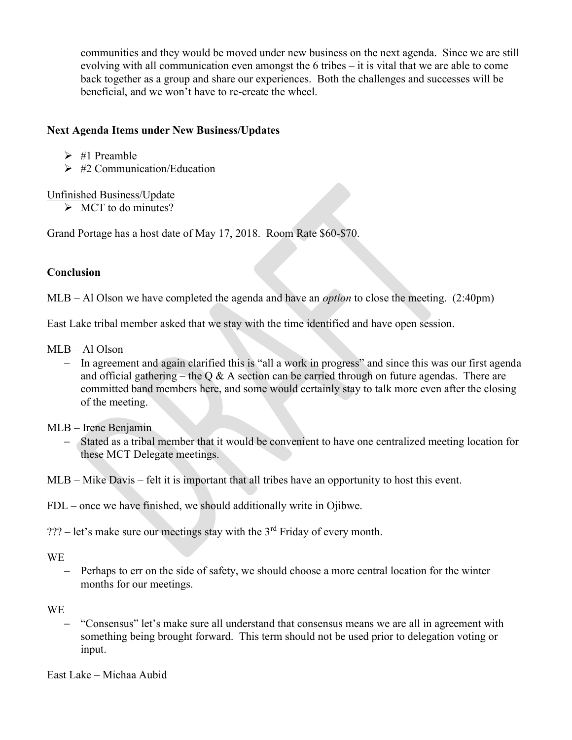communities and they would be moved under new business on the next agenda. Since we are still evolving with all communication even amongst the 6 tribes – it is vital that we are able to come back together as a group and share our experiences. Both the challenges and successes will be beneficial, and we won't have to re-create the wheel.

## Next Agenda Items under New Business/Updates

- $\geq$  #1 Preamble
- $\geq$  #2 Communication/Education

## Unfinished Business/Update

 $\triangleright$  MCT to do minutes?

Grand Portage has a host date of May 17, 2018. Room Rate \$60-\$70.

# Conclusion

MLB – Al Olson we have completed the agenda and have an *option* to close the meeting. (2:40pm)

East Lake tribal member asked that we stay with the time identified and have open session.

- MLB Al Olson
	- In agreement and again clarified this is "all a work in progress" and since this was our first agenda and official gathering – the Q & A section can be carried through on future agendas. There are committed band members here, and some would certainly stay to talk more even after the closing of the meeting.
- MLB Irene Benjamin
	- Stated as a tribal member that it would be convenient to have one centralized meeting location for these MCT Delegate meetings.
- MLB Mike Davis felt it is important that all tribes have an opportunity to host this event.
- FDL once we have finished, we should additionally write in Ojibwe.
- ??? let's make sure our meetings stay with the  $3<sup>rd</sup>$  Friday of every month.

## WE

 Perhaps to err on the side of safety, we should choose a more central location for the winter months for our meetings.

## **WE**

 "Consensus" let's make sure all understand that consensus means we are all in agreement with something being brought forward. This term should not be used prior to delegation voting or input.

East Lake – Michaa Aubid